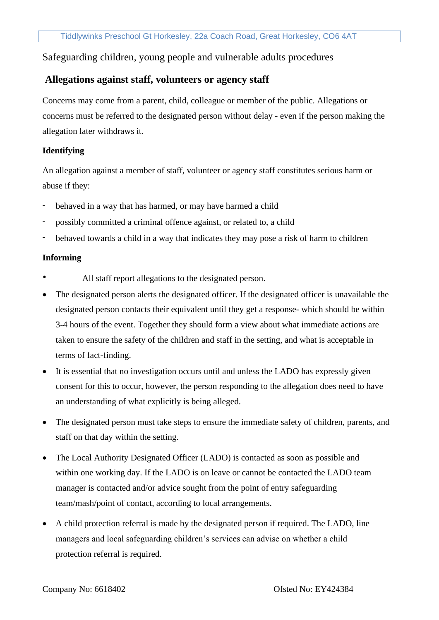# Safeguarding children, young people and vulnerable adults procedures

# **Allegations against staff, volunteers or agency staff**

Concerns may come from a parent, child, colleague or member of the public. Allegations or concerns must be referred to the designated person without delay - even if the person making the allegation later withdraws it.

## **Identifying**

An allegation against a member of staff, volunteer or agency staff constitutes serious harm or abuse if they:

- behaved in a way that has harmed, or may have harmed a child
- possibly committed a criminal offence against, or related to, a child
- behaved towards a child in a way that indicates they may pose a risk of harm to children

### **Informing**

- All staff report allegations to the designated person.
- The designated person alerts the designated officer. If the designated officer is unavailable the designated person contacts their equivalent until they get a response- which should be within 3-4 hours of the event. Together they should form a view about what immediate actions are taken to ensure the safety of the children and staff in the setting, and what is acceptable in terms of fact-finding.
- It is essential that no investigation occurs until and unless the LADO has expressly given consent for this to occur, however, the person responding to the allegation does need to have an understanding of what explicitly is being alleged.
- The designated person must take steps to ensure the immediate safety of children, parents, and staff on that day within the setting.
- The Local Authority Designated Officer (LADO) is contacted as soon as possible and within one working day. If the LADO is on leave or cannot be contacted the LADO team manager is contacted and/or advice sought from the point of entry safeguarding team/mash/point of contact, according to local arrangements.
- A child protection referral is made by the designated person if required. The LADO, line managers and local safeguarding children's services can advise on whether a child protection referral is required.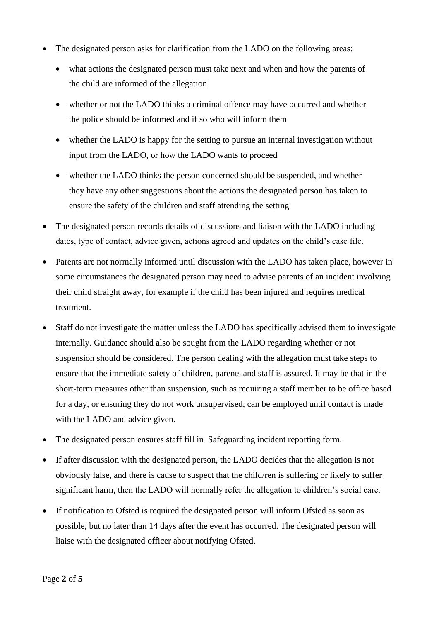- The designated person asks for clarification from the LADO on the following areas:
	- what actions the designated person must take next and when and how the parents of the child are informed of the allegation
	- whether or not the LADO thinks a criminal offence may have occurred and whether the police should be informed and if so who will inform them
	- whether the LADO is happy for the setting to pursue an internal investigation without input from the LADO, or how the LADO wants to proceed
	- whether the LADO thinks the person concerned should be suspended, and whether they have any other suggestions about the actions the designated person has taken to ensure the safety of the children and staff attending the setting
- The designated person records details of discussions and liaison with the LADO including dates, type of contact, advice given, actions agreed and updates on the child's case file.
- Parents are not normally informed until discussion with the LADO has taken place, however in some circumstances the designated person may need to advise parents of an incident involving their child straight away, for example if the child has been injured and requires medical treatment.
- Staff do not investigate the matter unless the LADO has specifically advised them to investigate internally. Guidance should also be sought from the LADO regarding whether or not suspension should be considered. The person dealing with the allegation must take steps to ensure that the immediate safety of children, parents and staff is assured. It may be that in the short-term measures other than suspension, such as requiring a staff member to be office based for a day, or ensuring they do not work unsupervised, can be employed until contact is made with the LADO and advice given.
- The designated person ensures staff fill in Safeguarding incident reporting form.
- If after discussion with the designated person, the LADO decides that the allegation is not obviously false, and there is cause to suspect that the child/ren is suffering or likely to suffer significant harm, then the LADO will normally refer the allegation to children's social care.
- If notification to Ofsted is required the designated person will inform Ofsted as soon as possible, but no later than 14 days after the event has occurred. The designated person will liaise with the designated officer about notifying Ofsted.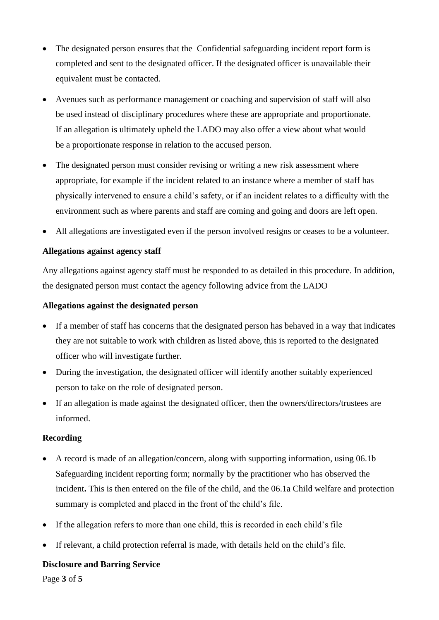- The designated person ensures that the Confidential safeguarding incident report form is completed and sent to the designated officer. If the designated officer is unavailable their equivalent must be contacted.
- Avenues such as performance management or coaching and supervision of staff will also be used instead of disciplinary procedures where these are appropriate and proportionate. If an allegation is ultimately upheld the LADO may also offer a view about what would be a proportionate response in relation to the accused person.
- The designated person must consider revising or writing a new risk assessment where appropriate, for example if the incident related to an instance where a member of staff has physically intervened to ensure a child's safety, or if an incident relates to a difficulty with the environment such as where parents and staff are coming and going and doors are left open.
- All allegations are investigated even if the person involved resigns or ceases to be a volunteer.

# **Allegations against agency staff**

Any allegations against agency staff must be responded to as detailed in this procedure. In addition, the designated person must contact the agency following advice from the LADO

## **Allegations against the designated person**

- If a member of staff has concerns that the designated person has behaved in a way that indicates they are not suitable to work with children as listed above, this is reported to the designated officer who will investigate further.
- During the investigation, the designated officer will identify another suitably experienced person to take on the role of designated person.
- If an allegation is made against the designated officer, then the owners/directors/trustees are informed.

### **Recording**

- A record is made of an allegation/concern, along with supporting information, using 06.1b Safeguarding incident reporting form; normally by the practitioner who has observed the incident**.** This is then entered on the file of the child, and the 06.1a Child welfare and protection summary is completed and placed in the front of the child's file.
- If the allegation refers to more than one child, this is recorded in each child's file
- If relevant, a child protection referral is made, with details held on the child's file.

### **Disclosure and Barring Service**

Page **3** of **5**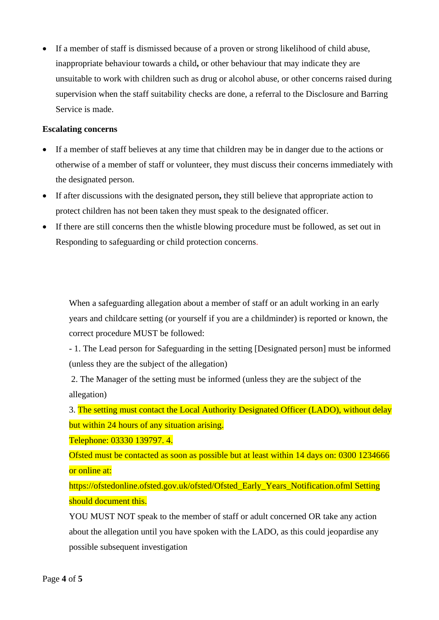• If a member of staff is dismissed because of a proven or strong likelihood of child abuse, inappropriate behaviour towards a child**,** or other behaviour that may indicate they are unsuitable to work with children such as drug or alcohol abuse, or other concerns raised during supervision when the staff suitability checks are done, a referral to the Disclosure and Barring Service is made.

## **Escalating concerns**

- If a member of staff believes at any time that children may be in danger due to the actions or otherwise of a member of staff or volunteer, they must discuss their concerns immediately with the designated person.
- If after discussions with the designated person**,** they still believe that appropriate action to protect children has not been taken they must speak to the designated officer.
- If there are still concerns then the whistle blowing procedure must be followed, as set out in Responding to safeguarding or child protection concerns.

When a safeguarding allegation about a member of staff or an adult working in an early years and childcare setting (or yourself if you are a childminder) is reported or known, the correct procedure MUST be followed:

- 1. The Lead person for Safeguarding in the setting [Designated person] must be informed (unless they are the subject of the allegation)

2. The Manager of the setting must be informed (unless they are the subject of the allegation)

3. The setting must contact the Local Authority Designated Officer (LADO), without delay but within 24 hours of any situation arising.

Telephone: 03330 139797. 4.

Ofsted must be contacted as soon as possible but at least within 14 days on: 0300 1234666 or online at:

https://ofstedonline.ofsted.gov.uk/ofsted/Ofsted\_Early\_Years\_Notification.ofml Setting should document this.

YOU MUST NOT speak to the member of staff or adult concerned OR take any action about the allegation until you have spoken with the LADO, as this could jeopardise any possible subsequent investigation